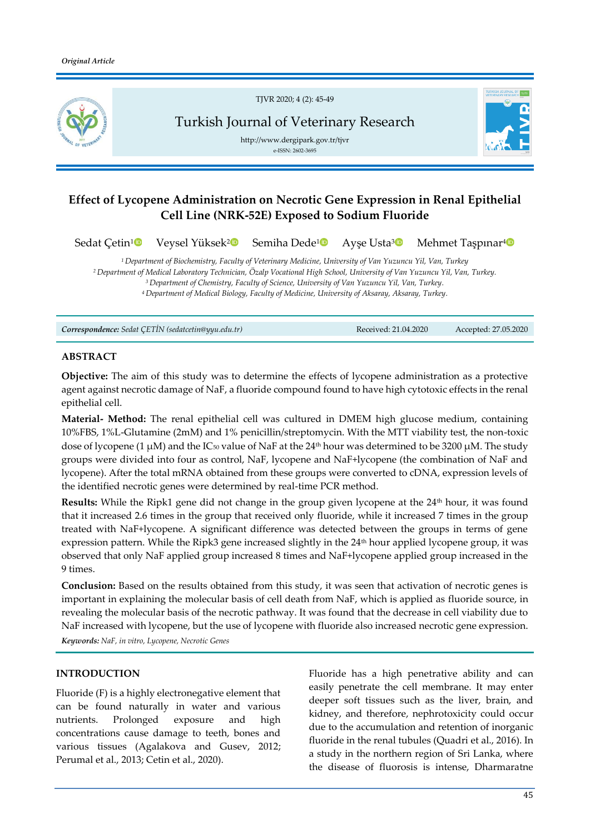

# **Effect of Lycopene Administration on Necrotic Gene Expression in Renal Epithelial Cell Line (NRK-52E) Exposed to Sodium Fluoride**

```
Sedat Çetin<sup>1</sup>
       2</sup><sup>D</sup>
                               Semiha Dede1
                                                   3</sup>
                                                                     Mehmet Taşpınar<sup>40</sup>
```
*Department of Biochemistry, Faculty of Veterinary Medicine, University of Van Yuzuncu Yil, Van, Turkey Department of Medical Laboratory Technician, Özalp Vocational High School, University of Van Yuzuncu Yil, Van, Turkey. Department of Chemistry, Faculty of Science, University of Van Yuzuncu Yil, Van, Turkey. Department of Medical Biology, Faculty of Medicine, University of Aksaray, Aksaray, Turkey.*

*Correspondence: Sedat ÇETİN (sedatcetin@yyu.edu.tr)* Received: 21.04.2020 Accepted: 27.05.2020

#### **ABSTRACT**

**Objective:** The aim of this study was to determine the effects of lycopene administration as a protective agent against necrotic damage of NaF, a fluoride compound found to have high cytotoxic effects in the renal epithelial cell.

**Material- Method:** The renal epithelial cell was cultured in DMEM high glucose medium, containing 10%FBS, 1%L-Glutamine (2mM) and 1% penicillin/streptomycin. With the MTT viability test, the non-toxic dose of lycopene (1  $\mu$ M) and the IC<sub>50</sub> value of NaF at the 24<sup>th</sup> hour was determined to be 3200  $\mu$ M. The study groups were divided into four as control, NaF, lycopene and NaF+lycopene (the combination of NaF and lycopene). After the total mRNA obtained from these groups were converted to cDNA, expression levels of the identified necrotic genes were determined by real-time PCR method.

**Results:** While the Ripk1 gene did not change in the group given lycopene at the 24<sup>th</sup> hour, it was found that it increased 2.6 times in the group that received only fluoride, while it increased 7 times in the group treated with NaF+lycopene. A significant difference was detected between the groups in terms of gene expression pattern. While the Ripk3 gene increased slightly in the 24<sup>th</sup> hour applied lycopene group, it was observed that only NaF applied group increased 8 times and NaF+lycopene applied group increased in the 9 times.

**Conclusion:** Based on the results obtained from this study, it was seen that activation of necrotic genes is important in explaining the molecular basis of cell death from NaF, which is applied as fluoride source, in revealing the molecular basis of the necrotic pathway. It was found that the decrease in cell viability due to NaF increased with lycopene, but the use of lycopene with fluoride also increased necrotic gene expression.

*Keywords: NaF, in vitro, Lycopene, Necrotic Genes*

#### **INTRODUCTION**

Fluoride (F) is a highly electronegative element that can be found naturally in water and various nutrients. Prolonged exposure and high concentrations cause damage to teeth, bones and various tissues (Agalakova and Gusev, 2012; Perumal et al., 2013; Cetin et al., 2020).

Fluoride has a high penetrative ability and can easily penetrate the cell membrane. It may enter deeper soft tissues such as the liver, brain, and kidney, and therefore, nephrotoxicity could occur due to the accumulation and retention of inorganic fluoride in the renal tubules (Quadri et al., 2016). In a study in the northern region of Sri Lanka, where the disease of fluorosis is intense, Dharmaratne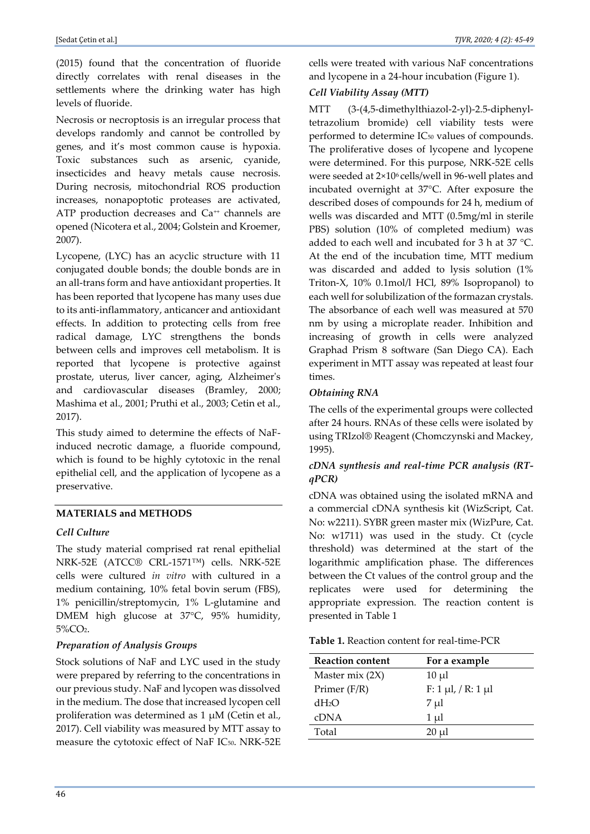(2015) found that the concentration of fluoride directly correlates with renal diseases in the settlements where the drinking water has high levels of fluoride.

Necrosis or necroptosis is an irregular process that develops randomly and cannot be controlled by genes, and it's most common cause is hypoxia. Toxic substances such as arsenic, cyanide, insecticides and heavy metals cause necrosis. During necrosis, mitochondrial ROS production increases, nonapoptotic proteases are activated, ATP production decreases and Ca<sup>++</sup> channels are opened (Nicotera et al., 2004; Golstein and Kroemer, 2007).

Lycopene, (LYC) has an acyclic structure with 11 conjugated double bonds; the double bonds are in an all-trans form and have antioxidant properties. It has been reported that lycopene has many uses due to its anti-inflammatory, anticancer and antioxidant effects. In addition to protecting cells from free radical damage, LYC strengthens the bonds between cells and improves cell metabolism. It is reported that lycopene is protective against prostate, uterus, liver cancer, aging, Alzheimer's and cardiovascular diseases (Bramley, 2000; Mashima et al., 2001; Pruthi et al., 2003; Cetin et al., 2017).

This study aimed to determine the effects of NaFinduced necrotic damage, a fluoride compound, which is found to be highly cytotoxic in the renal epithelial cell, and the application of lycopene as a preservative.

### **MATERIALS and METHODS**

### *Cell Culture*

The study material comprised rat renal epithelial NRK-52E (ATCC® CRL-1571™) cells. NRK-52E cells were cultured *in vitro* with cultured in a medium containing, 10% fetal bovin serum (FBS), 1% penicillin/streptomycin, 1% L-glutamine and DMEM high glucose at 37°C, 95% humidity, 5%CO2.

### *Preparation of Analysis Groups*

Stock solutions of NaF and LYC used in the study were prepared by referring to the concentrations in our previous study. NaF and lycopen was dissolved in the medium. The dose that increased lycopen cell proliferation was determined as  $1 \mu M$  (Cetin et al., 2017). Cell viability was measured by MTT assay to measure the cytotoxic effect of NaF IC50. NRK-52E

cells were treated with various NaF concentrations and lycopene in a 24-hour incubation (Figure 1).

## *Cell Viability Assay (MTT)*

MTT (3-(4,5-dimethylthiazol-2-yl)-2.5-diphenyltetrazolium bromide) cell viability tests were performed to determine IC<sup>50</sup> values of compounds. The proliferative doses of lycopene and lycopene were determined. For this purpose, NRK-52E cells were seeded at 2×106 cells/well in 96-well plates and incubated overnight at 37°C. After exposure the described doses of compounds for 24 h, medium of wells was discarded and MTT (0.5mg/ml in sterile PBS) solution (10% of completed medium) was added to each well and incubated for 3 h at 37 °C. At the end of the incubation time, MTT medium was discarded and added to lysis solution (1% Triton-X, 10% 0.1mol/l HCl, 89% Isopropanol) to each well for solubilization of the formazan crystals. The absorbance of each well was measured at 570 nm by using a microplate reader. Inhibition and increasing of growth in cells were analyzed Graphad Prism 8 software (San Diego CA). Each experiment in MTT assay was repeated at least four times.

### *Obtaining RNA*

The cells of the experimental groups were collected after 24 hours. RNAs of these cells were isolated by using TRIzol® Reagent (Chomczynski and Mackey, 1995).

### *cDNA synthesis and real-time PCR analysis (RTqPCR)*

cDNA was obtained using the isolated mRNA and a commercial cDNA synthesis kit (WizScript, Cat. No: w2211). SYBR green master mix (WizPure, Cat. No: w1711) was used in the study. Ct (cycle threshold) was determined at the start of the logarithmic amplification phase. The differences between the Ct values of the control group and the replicates were used for determining the appropriate expression. The reaction content is presented in Table 1

**Table 1.** Reaction content for real-time-PCR

| <b>Reaction content</b> | For a example                 |
|-------------------------|-------------------------------|
| Master mix $(2X)$       | $10 \mu l$                    |
| Primer $(F/R)$          | $F: 1 \mu l$ , / R: 1 $\mu l$ |
| dH2O                    | $7 \mu l$                     |
| cDNA                    | $1 \mu l$                     |
| Total                   | $20 \mu l$                    |
|                         |                               |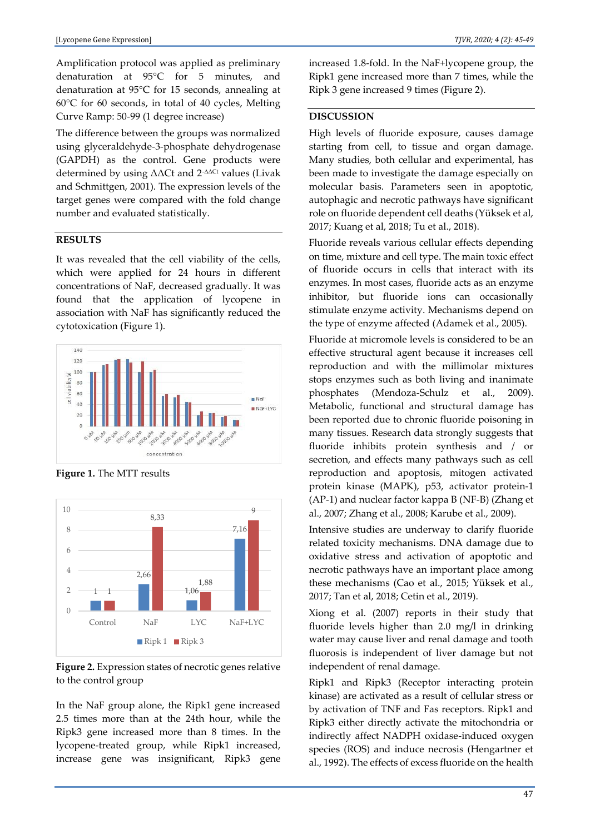Amplification protocol was applied as preliminary denaturation at 95°C for 5 minutes, and denaturation at 95°C for 15 seconds, annealing at 60°C for 60 seconds, in total of 40 cycles, Melting Curve Ramp: 50-99 (1 degree increase)

The difference between the groups was normalized using glyceraldehyde-3-phosphate dehydrogenase (GAPDH) as the control. Gene products were determined by using ΔΔCt and 2-ΔΔCt values (Livak and Schmittgen, 2001). The expression levels of the target genes were compared with the fold change number and evaluated statistically.

#### **RESULTS**

It was revealed that the cell viability of the cells, which were applied for 24 hours in different concentrations of NaF, decreased gradually. It was found that the application of lycopene in association with NaF has significantly reduced the cytotoxication (Figure 1).



**Figure 1.** The MTT results



**Figure 2.** Expression states of necrotic genes relative to the control group

In the NaF group alone, the Ripk1 gene increased 2.5 times more than at the 24th hour, while the Ripk3 gene increased more than 8 times. In the lycopene-treated group, while Ripk1 increased, increase gene was insignificant, Ripk3 gene

increased 1.8-fold. In the NaF+lycopene group, the Ripk1 gene increased more than 7 times, while the Ripk 3 gene increased 9 times (Figure 2).

#### **DISCUSSION**

High levels of fluoride exposure, causes damage starting from cell, to tissue and organ damage. Many studies, both cellular and experimental, has been made to investigate the damage especially on molecular basis. Parameters seen in apoptotic, autophagic and necrotic pathways have significant role on fluoride dependent cell deaths (Yüksek et al, 2017; Kuang et al, 2018; Tu et al., 2018).

Fluoride reveals various cellular effects depending on time, mixture and cell type. The main toxic effect of fluoride occurs in cells that interact with its enzymes. In most cases, fluoride acts as an enzyme inhibitor, but fluoride ions can occasionally stimulate enzyme activity. Mechanisms depend on the type of enzyme affected (Adamek et al., 2005).

Fluoride at micromole levels is considered to be an effective structural agent because it increases cell reproduction and with the millimolar mixtures stops enzymes such as both living and inanimate phosphates (Mendoza-Schulz et al., 2009). Metabolic, functional and structural damage has been reported due to chronic fluoride poisoning in many tissues. Research data strongly suggests that fluoride inhibits protein synthesis and / or secretion, and effects many pathways such as cell reproduction and apoptosis, mitogen activated protein kinase (MAPK), p53, activator protein-1 (AP-1) and nuclear factor kappa B (NF-B) (Zhang et al., 2007; Zhang et al., 2008; Karube et al., 2009).

Intensive studies are underway to clarify fluoride related toxicity mechanisms. DNA damage due to oxidative stress and activation of apoptotic and necrotic pathways have an important place among these mechanisms (Cao et al., 2015; Yüksek et al., 2017; Tan et al, 2018; Cetin et al., 2019).

Xiong et al. (2007) reports in their study that fluoride levels higher than 2.0 mg/l in drinking water may cause liver and renal damage and tooth fluorosis is independent of liver damage but not independent of renal damage.

Ripk1 and Ripk3 (Receptor interacting protein kinase) are activated as a result of cellular stress or by activation of TNF and Fas receptors. Ripk1 and Ripk3 either directly activate the mitochondria or indirectly affect NADPH oxidase-induced oxygen species (ROS) and induce necrosis (Hengartner et al., 1992). The effects of excess fluoride on the health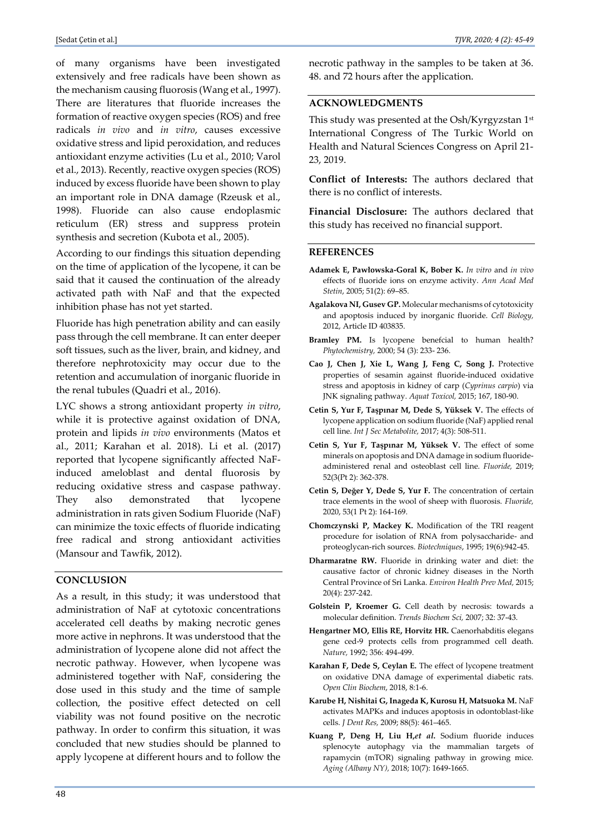of many organisms have been investigated extensively and free radicals have been shown as the mechanism causing fluorosis (Wang et al., 1997). There are literatures that fluoride increases the formation of reactive oxygen species (ROS) and free radicals *in vivo* and *in vitro*, causes excessive oxidative stress and lipid peroxidation, and reduces antioxidant enzyme activities (Lu et al., 2010; Varol et al., 2013). Recently, reactive oxygen species (ROS) induced by excess fluoride have been shown to play an important role in DNA damage (Rzeusk et al., 1998). Fluoride can also cause endoplasmic reticulum (ER) stress and suppress protein synthesis and secretion (Kubota et al., 2005).

According to our findings this situation depending on the time of application of the lycopene, it can be said that it caused the continuation of the already activated path with NaF and that the expected inhibition phase has not yet started.

Fluoride has high penetration ability and can easily pass through the cell membrane. It can enter deeper soft tissues, such as the liver, brain, and kidney, and therefore nephrotoxicity may occur due to the retention and accumulation of inorganic fluoride in the renal tubules (Quadri et al., 2016).

LYC shows a strong antioxidant property *in vitro*, while it is protective against oxidation of DNA, protein and lipids *in vivo* environments (Matos et al., 2011; Karahan et al. 2018). Li et al. (2017) reported that lycopene significantly affected NaFinduced ameloblast and dental fluorosis by reducing oxidative stress and caspase pathway. They also demonstrated that lycopene administration in rats given Sodium Fluoride (NaF) can minimize the toxic effects of fluoride indicating free radical and strong antioxidant activities (Mansour and Tawfik, 2012).

#### **CONCLUSION**

As a result, in this study; it was understood that administration of NaF at cytotoxic concentrations accelerated cell deaths by making necrotic genes more active in nephrons. It was understood that the administration of lycopene alone did not affect the necrotic pathway. However, when lycopene was administered together with NaF, considering the dose used in this study and the time of sample collection, the positive effect detected on cell viability was not found positive on the necrotic pathway. In order to confirm this situation, it was concluded that new studies should be planned to apply lycopene at different hours and to follow the

necrotic pathway in the samples to be taken at 36. 48. and 72 hours after the application.

### **ACKNOWLEDGMENTS**

This study was presented at the Osh/Kyrgyzstan 1st International Congress of The Turkic World on Health and Natural Sciences Congress on April 21- 23, 2019.

**Conflict of Interests:** The authors declared that there is no conflict of interests.

**Financial Disclosure:** The authors declared that this study has received no financial support.

#### **REFERENCES**

- **Adamek E, Pawłowska-Goral K, Bober K.** *In vitro* and *in vivo* effects of fluoride ions on enzyme activity. *Ann Acad Med Stetin*, 2005; 51(2): 69–85.
- **Agalakova NI, Gusev GP.** Molecular mechanisms of cytotoxicity and apoptosis induced by inorganic fluoride. *Cell Biology,*  2012, Article ID 403835.
- **Bramley PM.** Is lycopene benefcial to human health? *Phytochemistry,* 2000; 54 (3): 233- 236.
- **Cao J, Chen J, Xie L, Wang J, Feng C, Song J.** Protective properties of sesamin against fluoride-induced oxidative stress and apoptosis in kidney of carp (*Cyprinus carpio*) via JNK signaling pathway. *Aquat Toxicol,* 2015; 167, 180-90.
- **Cetin S, Yur F, Taşpınar M, Dede S, Yüksek V.** The effects of lycopene application on sodium fluoride (NaF) applied renal cell line. *Int J Sec Metabolite,* 2017; 4(3): 508-511.
- **Cetin S, Yur F, Taşpınar M, Yüksek V.** The effect of some minerals on apoptosis and DNA damage in sodium fluorideadministered renal and osteoblast cell line. *Fluoride,* 2019; 52(3(Pt 2): 362-378.
- **Cetin S, Değer Y, Dede S, Yur F.** The concentration of certain trace elements in the wool of sheep with fluorosis. *Fluoride,*  2020, 53(1 Pt 2): 164-169.
- **Chomczynski P, Mackey K.** Modification of the TRI reagent procedure for isolation of RNA from polysaccharide- and proteoglycan-rich sources. *Biotechniques*, 1995; 19(6):942-45.
- **Dharmaratne RW.** Fluoride in drinking water and diet: the causative factor of chronic kidney diseases in the North Central Province of Sri Lanka. *Environ Health Prev Med,* 2015; 20(4): 237-242.
- **Golstein P, Kroemer G.** Cell death by necrosis: towards a molecular definition. *Trends Biochem Sci,* 2007; 32: 37-43.
- **Hengartner MO, Ellis RE, Horvitz HR.** Caenorhabditis elegans gene ced-9 protects cells from programmed cell death. *Nature,* 1992; 356: 494-499.
- **Karahan F, Dede S, Ceylan E.** The effect of lycopene treatment on oxidative DNA damage of experimental diabetic rats. *Open Clin Biochem*, 2018, 8:1-6.
- **Karube H, Nishitai G, Inageda K, Kurosu H, Matsuoka M.** NaF activates MAPKs and induces apoptosis in odontoblast-like cells. *J Dent Res,* 2009; 88(5): 461–465.
- **Kuang P, Deng H, Liu H,***et al***.** Sodium fluoride induces splenocyte autophagy via the mammalian targets of rapamycin (mTOR) signaling pathway in growing mice. *Aging (Albany NY),* 2018; 10(7): 1649-1665.